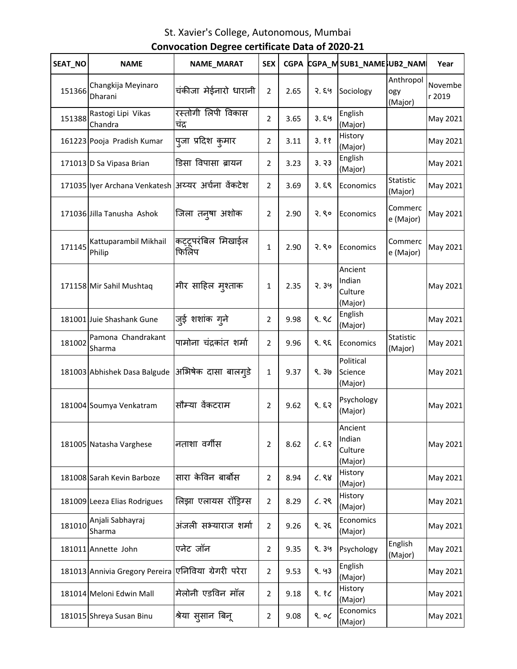| SEAT_NO | <b>NAME</b>                                         | NAME_MARAT                  | <b>SEX</b>     | <b>CGPA</b> |       | CGPA_MSUB1_NAMESUB2_NAM                 |                             | Year              |
|---------|-----------------------------------------------------|-----------------------------|----------------|-------------|-------|-----------------------------------------|-----------------------------|-------------------|
| 151366  | Changkija Meyinaro<br>Dharani                       | चंकीजा मेईनारो धारानी       | $\overline{2}$ | 2.65        | २. ६५ | Sociology                               | Anthropol<br>ogy<br>(Major) | Novembe<br>r 2019 |
| 151388  | Rastogi Lipi Vikas<br>Chandra                       | रस्तोगी लिपी विकास<br>चंद्र | $\overline{2}$ | 3.65        | 3.89  | English<br>(Major)                      |                             | May 2021          |
|         | 161223 Pooja Pradish Kumar                          | पूजा प्रदिश कुमार           | 2              | 3.11        | 3.88  | History<br>(Major)                      |                             | May 2021          |
|         | 171013 D Sa Vipasa Brian                            | डिसा विपासा ब्रायन          | 2              | 3.23        | 3.73  | English<br>(Major)                      |                             | May 2021          |
|         | 171035 lyer Archana Venkatesh  अय्यर अर्चना वेंकटेश |                             | 2              | 3.69        | 3.59  | Economics                               | Statistic<br>(Major)        | May 2021          |
|         | 171036 Jilla Tanusha Ashok                          | जिला तन् <b>षा अशोक</b>     | 2              | 2.90        | 2.80  | Economics                               | Commerc<br>e (Major)        | May 2021          |
| 171145  | Kattuparambil Mikhail<br>Philip                     | कट्टूपरंबिल मिखाईल<br>फिलिप | 1              | 2.90        | 2.80  | Economics                               | Commerc<br>e (Major)        | May 2021          |
|         | 171158 Mir Sahil Mushtaq                            | मीर साहिल मुश्ताक           | $\mathbf{1}$   | 2.35        | 2.39  | Ancient<br>Indian<br>Culture<br>(Major) |                             | May 2021          |
|         | 181001 Juie Shashank Gune                           | जुई शशांक ग् <b>ने</b>      | 2              | 9.98        | 9.86  | English<br>(Major)                      |                             | May 2021          |
| 181002  | Pamona Chandrakant<br>Sharma                        | पामोना चंद्रकांत शर्मा      | 2              | 9.96        | ९. ९६ | Economics                               | Statistic<br>(Major)        | May 2021          |
|         | 181003 Abhishek Dasa Balgude  अभिषेक दासा बालग्5े   |                             | 1              | 9.37        | 9.36  | Political<br>Science<br>(Major)         |                             | May 2021          |
|         | 181004 Soumya Venkatram                             | सौम्या वेंकटराम             | 2              | 9.62        | 9.53  | Psychology<br>(Major)                   |                             | May 2021          |
|         | 181005 Natasha Varghese                             | नताशा वर्गीस                | 2              | 8.62        | 6.53  | Ancient<br>Indian<br>Culture<br>(Major) |                             | May 2021          |
|         | 181008 Sarah Kevin Barboze                          | सारा केविन बार्बोस          | 2              | 8.94        | C.88  | History<br>(Major)                      |                             | May 2021          |
|         | 181009 Leeza Elias Rodrigues                        | लिझा एलायस रॉड्रिग्स        | 2              | 8.29        | ८.२९  | History<br>(Major)                      |                             | May 2021          |
| 181010  | Anjali Sabhayraj<br>Sharma                          | अंजली सभ्याराज शर्मा        | 2              | 9.26        | 9.35  | Economics<br>(Major)                    |                             | May 2021          |
|         | 181011 Annette John                                 | एनेट जॉन                    | 2              | 9.35        | 9.39  | Psychology                              | English<br>(Major)          | May 2021          |
|         | 181013 Annivia Gregory Pereira                      | एनिविया ग्रेगरी परेरा       | 2              | 9.53        | 9.93  | English<br>(Major)                      |                             | May 2021          |
|         | 181014 Meloni Edwin Mall                            | मेलोनी एडविन मॉल            | 2              | 9.18        | 9.8c  | History<br>(Major)                      |                             | May 2021          |
|         | 181015 Shreya Susan Binu                            | श्रेया सुसान बिनू           | 2              | 9.08        | 9.06  | Economics<br>(Major)                    |                             | May 2021          |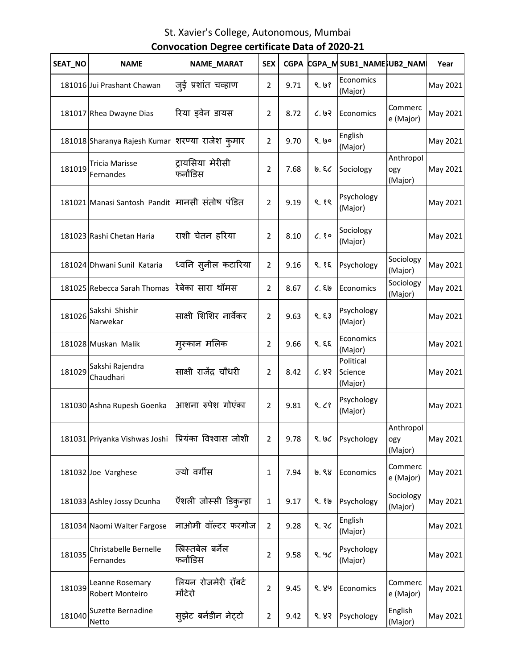| SEAT_NO | <b>NAME</b>                                      | NAME_MARAT                     | <b>SEX</b>     | <b>CGPA</b> |       | CGPA_MSUB1_NAME}UB2_NAM         |                             | Year     |
|---------|--------------------------------------------------|--------------------------------|----------------|-------------|-------|---------------------------------|-----------------------------|----------|
|         | 181016 Jui Prashant Chawan                       | जुई प्रशांत चव्हाण             | $\overline{2}$ | 9.71        | 9.69  | Economics<br>(Major)            |                             | May 2021 |
|         | 181017 Rhea Dwayne Dias                          | रिया ड़वेन डायस                | $\overline{2}$ | 8.72        | 6.93  | Economics                       | Commerc<br>e (Major)        | May 2021 |
|         | 181018 Sharanya Rajesh Kumar शिरण्या राजेश कुमार |                                | $\overline{2}$ | 9.70        | 9.60  | English<br>(Major)              |                             | May 2021 |
| 181019  | <b>Tricia Marisse</b><br>Fernandes               | ट्रायसिया मेरीसी<br>फर्नाडिस   | 2              | 7.68        | ७. ६८ | Sociology                       | Anthropol<br>ogy<br>(Major) | May 2021 |
|         | 181021 Manasi Santosh Pandit  मानसी संतोष पंडित  |                                | 2              | 9.19        | ९.१९  | Psychology<br>(Major)           |                             | May 2021 |
|         | 181023 Rashi Chetan Haria                        | राशी चेतन हरिया                | 2              | 8.10        | C.80  | Sociology<br>(Major)            |                             | May 2021 |
|         | 181024 Dhwani Sunil Kataria                      | ध्वनि स् <b>नील कटारिया</b>    | $\overline{2}$ | 9.16        | 9.85  | Psychology                      | Sociology<br>(Major)        | May 2021 |
|         | 181025 Rebecca Sarah Thomas                      | रेबेका सारा थॉमस               | $\overline{2}$ | 8.67        | C.56  | Economics                       | Sociology<br>(Major)        | May 2021 |
| 181026  | Sakshi Shishir<br>Narwekar                       | साक्षी शिशिर नार्वेकर          | $\overline{2}$ | 9.63        | 8.53  | Psychology<br>(Major)           |                             | May 2021 |
|         | 181028 Muskan Malik                              | म्स्कान मलिक                   | $\overline{2}$ | 9.66        | 9.5   | Economics<br>(Major)            |                             | May 2021 |
| 181029  | Sakshi Rajendra<br>Chaudhari                     | साक्षी राजेंद्र चौधरी          | $\overline{2}$ | 8.42        | 6.83  | Political<br>Science<br>(Major) |                             | May 2021 |
|         | 181030 Ashna Rupesh Goenka                       | आशना रुपेश गोएंका              | $\overline{2}$ | 9.81        | 9.68  | Psychology<br>(Major)           |                             | May 2021 |
|         | 181031 Priyanka Vishwas Joshi                    | प्रियंका विश्वास जोशी          | 2              | 9.78        | 9.66  | Psychology                      | Anthropol<br>ogy<br>(Major) | May 2021 |
|         | 181032 Joe Varghese                              | ज्यो वर्गीस                    | 1              | 7.94        | ७.९४  | Economics                       | Commerc<br>e (Major)        | May 2021 |
|         | 181033 Ashley Jossy Dcunha                       | ऍशली जोस्सी डिकुन्हा           | $\mathbf{1}$   | 9.17        | ९.१७  | Psychology                      | Sociology<br>(Major)        | May 2021 |
|         | 181034 Naomi Walter Fargose                      | नाओमी वॉल्टर फरगोज             | $\overline{2}$ | 9.28        | ९. २८ | English<br>(Major)              |                             | May 2021 |
| 181035  | Christabelle Bernelle<br>Fernandes               | ख्रिस्तबेल बर्नेल<br>फर्नांडिस | 2              | 9.58        | 9.90  | Psychology<br>(Major)           |                             | May 2021 |
| 181039  | Leanne Rosemary<br>Robert Monteiro               | लियन रोजमेरी रॉबर्ट<br>मोंटेरो | $\overline{2}$ | 9.45        | ९. ४५ | Economics                       | Commerc<br>e (Major)        | May 2021 |
| 181040  | Suzette Bernadine<br><b>Netto</b>                | सूझेट बर्नडीन नेट्टो           | $\overline{2}$ | 9.42        | 8.83  | Psychology                      | English<br>(Major)          | May 2021 |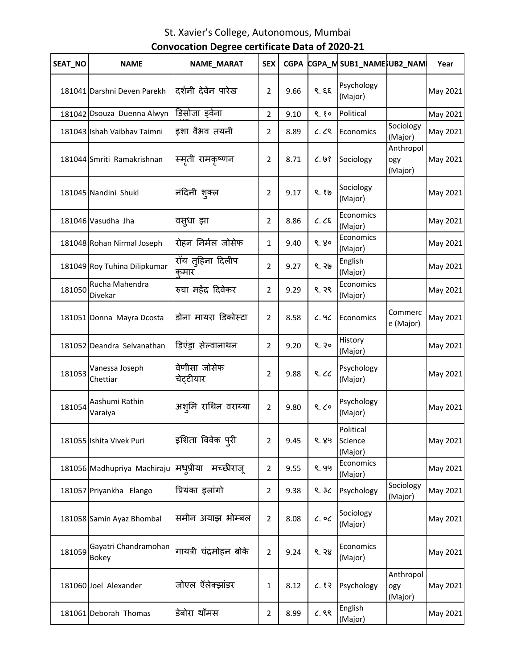| SEAT NO | <b>NAME</b>                   | NAME_MARAT                | <b>SEX</b>     | <b>CGPA</b> |             | CGPA_MSUB1_NAMESUB2_NAM         |                             | Year     |
|---------|-------------------------------|---------------------------|----------------|-------------|-------------|---------------------------------|-----------------------------|----------|
|         | 181041 Darshni Deven Parekh   | दर्शनी देवेन पारेख        | 2              | 9.66        | 9.59        | Psychology<br>(Major)           |                             | May 2021 |
|         | 181042 Dsouza Duenna Alwyn    | डिसोजा ड्वेना             | $\overline{2}$ | 9.10        | 9.80        | Political                       |                             | May 2021 |
|         | 181043 Ishah Vaibhav Taimni   | इशा वैभव तयनी             | $\overline{2}$ | 8.89        | C.CS        | Economics                       | Sociology<br>(Major)        | May 2021 |
|         | 181044 Smriti Ramakrishnan    | स्मृती रामकृष्णन          | $\overline{2}$ | 8.71        | C.98        | Sociology                       | Anthropol<br>ogy<br>(Major) | May 2021 |
|         | 181045 Nandini Shukl          | नंदिनी शुक्ल              | 2              | 9.17        | ९.१७        | Sociology<br>(Major)            |                             | May 2021 |
|         | 181046 Vasudha Jha            | वस़्धा झा                 | $\overline{2}$ | 8.86        | $C.$ $C\xi$ | Economics<br>(Major)            |                             | May 2021 |
|         | 181048 Rohan Nirmal Joseph    | रोहन निर्मल जोसेफ         | $\mathbf 1$    | 9.40        | 9.80        | Economics<br>(Major)            |                             | May 2021 |
|         | 181049 Roy Tuhina Dilipkumar  | रॉय तुहिना दिलीप<br>कमार  | $\overline{2}$ | 9.27        | ९. २७       | English<br>(Major)              |                             | May 2021 |
| 181050  | Rucha Mahendra<br>Divekar     | रुचा महेंद्र दिवेकर       | $\overline{2}$ | 9.29        | ९. २९       | Economics<br>(Major)            |                             | May 2021 |
|         | 181051 Donna Mayra Dcosta     | डोना मायरा डिकोस्टा       | $\overline{2}$ | 8.58        | 6.96        | Economics                       | Commerc<br>e (Major)        | May 2021 |
|         | 181052 Deandra Selvanathan    | डिएंड्रा सेल्वानाथन       | $\overline{2}$ | 9.20        | 9.30        | History<br>(Major)              |                             | May 2021 |
| 181053  | Vanessa Joseph<br>Chettiar    | वेणीसा जोसेफ<br>चेट्टीयार | $\overline{2}$ | 9.88        | 8.66        | Psychology<br>(Major)           |                             | May 2021 |
| 181054  | Aashumi Rathin<br>Varaiya     | अश्मि राथिन वराय्या       | $\overline{2}$ | 9.80        | 9.60        | Psychology<br>(Major)           |                             | May 2021 |
|         | 181055 Ishita Vivek Puri      | इशिता विवेक प् <b>री</b>  | $\overline{2}$ | 9.45        | ९. ४५       | Political<br>Science<br>(Major) |                             | May 2021 |
|         | 181056 Madhupriya Machiraju   | मध्प्रीया<br>मच्छीराजू    | 2              | 9.55        | ९. ५५       | Economics<br>(Major)            |                             | May 2021 |
|         | 181057 Priyankha Elango       | प्रियंका इलांगो           | $\overline{2}$ | 9.38        | 9.30        | Psychology                      | Sociology<br>(Major)        | May 2021 |
|         | 181058 Samin Ayaz Bhombal     | समीन अयाझ भोम्बल          | $\overline{2}$ | 8.08        | $c.$ oc     | Sociology<br>(Major)            |                             | May 2021 |
| 181059  | Gayatri Chandramohan<br>Bokey | गायत्री चंद्रमोहन बोके    | $\overline{2}$ | 9.24        | 8.38        | Economics<br>(Major)            |                             | May 2021 |
|         | 181060 Joel Alexander         | जोएल ऍलेक्झांडर           | 1              | 8.12        | 6.83        | Psychology                      | Anthropol<br>ogy<br>(Major) | May 2021 |
|         | 181061 Deborah Thomas         | डेबोरा थॉमस               | $\overline{2}$ | 8.99        | C.88        | English<br>(Major)              |                             | May 2021 |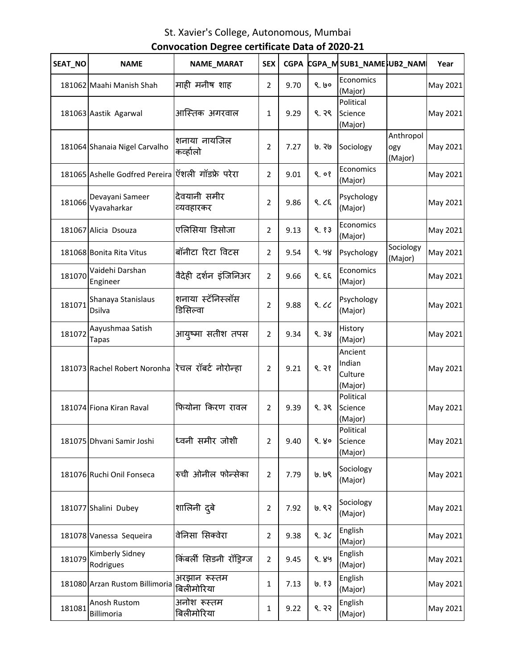| SEAT_NO | <b>NAME</b>                                       | NAME_MARAT                    | <b>SEX</b>     | <b>CGPA</b> |       | CGPA_MSUB1_NAMESUB2_NAM                 |                             | Year     |
|---------|---------------------------------------------------|-------------------------------|----------------|-------------|-------|-----------------------------------------|-----------------------------|----------|
|         | 181062 Maahi Manish Shah                          | माही मनीष शाह                 | $\overline{2}$ | 9.70        | 9.60  | Economics<br>(Major)                    |                             | May 2021 |
|         | 181063 Aastik Agarwal                             | आस्तिक अगरवाल                 | $\mathbf{1}$   | 9.29        | ९. २९ | Political<br>Science<br>(Major)         |                             | May 2021 |
|         | 181064 Shanaia Nigel Carvalho                     | शनाया नायजिल<br>कव्हालो       | 2              | 7.27        | ७. २७ | Sociology                               | Anthropol<br>ogy<br>(Major) | May 2021 |
|         | 181065 Ashelle Godfred Pereira ऍशली गॉडफ्रे परेरा |                               | $\overline{2}$ | 9.01        | 9.08  | Economics<br>(Major)                    |                             | May 2021 |
| 181066  | Devayani Sameer<br>Vyavaharkar                    | देवयानी समीर<br>व्यवहारकर     | 2              | 9.86        | 9.25  | Psychology<br>(Major)                   |                             | May 2021 |
|         | 181067 Alicia Dsouza                              | एलिसिया डिसोजा                | $\overline{2}$ | 9.13        | 9.83  | Economics<br>(Major)                    |                             | May 2021 |
|         | 181068 Bonita Rita Vitus                          | बॉनीटा रिटा विटस              | 2              | 9.54        | 9.98  | Psychology                              | Sociology<br>(Major)        | May 2021 |
| 181070  | Vaidehi Darshan<br>Engineer                       | वैदेही दर्शन इंजिनिअर         | $\overline{2}$ | 9.66        | 9.59  | Economics<br>(Major)                    |                             | May 2021 |
| 181071  | Shanaya Stanislaus<br>Dsilva                      | शनाया स्टॅनिस्लॉस<br>डिसिल्वा | $\overline{2}$ | 9.88        | 9.66  | Psychology<br>(Major)                   |                             | May 2021 |
| 181072  | Aayushmaa Satish<br><b>Tapas</b>                  | आयुष्मा सतीश तपस              | $\overline{2}$ | 9.34        | 9.38  | History<br>(Major)                      |                             | May 2021 |
|         | 181073 Rachel Robert Noronha रिचल रॉबर्ट नोरोन्हा |                               | 2              | 9.21        | 9.38  | Ancient<br>Indian<br>Culture<br>(Major) |                             | May 2021 |
|         | 181074 Fiona Kiran Raval                          | फियोना किरण रावल              | 2              | 9.39        | 9.39  | Political<br>Science<br>(Major)         |                             | May 2021 |
|         | 181075 Dhvani Samir Joshi                         | ध्वनी समीर जोशी               | 2              | 9.40        | 9.80  | Political<br>Science<br>(Major)         |                             | May 2021 |
|         | 181076 Ruchi Onil Fonseca                         | रुची ओनील फोन्सेका            | $\overline{2}$ | 7.79        | 9. ७९ | Sociology<br>(Major)                    |                             | May 2021 |
|         | 181077 Shalini Dubey                              | शालिनी द्बे                   | $\overline{2}$ | 7.92        | ७. ९२ | Sociology<br>(Major)                    |                             | May 2021 |
|         | 181078 Vanessa Sequeira                           | वेनिसा सिक्वेरा               | $\overline{2}$ | 9.38        | 9.30  | English<br>(Major)                      |                             | May 2021 |
| 181079  | Kimberly Sidney<br>Rodrigues                      | किंबर्ली सिडनी रॉड्रिग्ज      | $\overline{2}$ | 9.45        | ९. ४५ | English<br>(Major)                      |                             | May 2021 |
|         | 181080 Arzan Rustom Billimoria                    | अरझान रूस्तम<br>बिलीमोरिया    | 1              | 7.13        | 0.83  | English<br>(Major)                      |                             | May 2021 |
| 181081  | Anosh Rustom<br>Billimoria                        | अनोश रूस्तम<br>बिलीमोरिया     | 1              | 9.22        | 8.33  | English<br>(Major)                      |                             | May 2021 |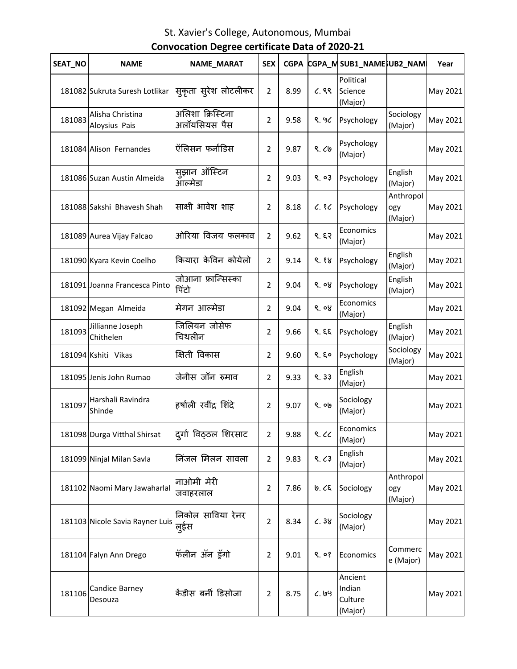| SEAT_NO | <b>NAME</b>                       | NAME_MARAT                       | <b>SEX</b>     | <b>CGPA</b> |       | CGPA_MSUB1_NAMESUB2_NAM                 |                             | Year     |
|---------|-----------------------------------|----------------------------------|----------------|-------------|-------|-----------------------------------------|-----------------------------|----------|
|         | 181082 Sukruta Suresh Lotlikar    | स्कृता स्ऐश लोटलीकर              | $\overline{2}$ | 8.99        | C.88  | Political<br>Science<br>(Major)         |                             | May 2021 |
| 181083  | Alisha Christina<br>Aloysius Pais | अलिशा क्रिस्टिना<br>अलॉयसियस पैस | 2              | 9.58        | 9.90  | Psychology                              | Sociology<br>(Major)        | May 2021 |
|         | 181084 Alison Fernandes           | ऍलिसन फर्नांडिस                  | 2              | 9.87        | 9.69  | Psychology<br>(Major)                   |                             | May 2021 |
|         | 181086 Suzan Austin Almeida       | सुझान ऑस्टिन<br>ऑल्मेडा          | 2              | 9.03        | 9.03  | Psychology                              | English<br>(Major)          | May 2021 |
|         | 181088 Sakshi Bhavesh Shah        | साक्षी भावेश शाह                 | 2              | 8.18        | C.8C  | Psychology                              | Anthropol<br>ogy<br>(Major) | May 2021 |
|         | 181089 Aurea Vijay Falcao         | ओरिया विजय फलकाव                 | $\overline{2}$ | 9.62        | 9.53  | Economics<br>(Major)                    |                             | May 2021 |
|         | 181090 Kyara Kevin Coelho         | कियारा केविन कोयेलो              | 2              | 9.14        | 9.88  | Psychology                              | English<br>(Major)          | May 2021 |
|         | 181091 Joanna Francesca Pinto     | जोआना फ्रान्सिस्का<br>पिंटो      | 2              | 9.04        | ९. ०४ | Psychology                              | English<br>(Major)          | May 2021 |
|         | 181092 Megan Almeida              | मेगन आल्मेडा                     | $\overline{2}$ | 9.04        | 9.08  | Economics<br>(Major)                    |                             | May 2021 |
| 181093  | Jillianne Joseph<br>Chithelen     | जिलियन जोसेफ<br>चिथलीन           | 2              | 9.66        | 9.59  | Psychology                              | English<br>(Major)          | May 2021 |
|         | 181094 Kshiti Vikas               | क्षिती विकास                     | 2              | 9.60        | 9.50  | Psychology                              | Sociology<br>(Major)        | May 2021 |
|         | 181095 Jenis John Rumao           | जेनीस जॉन रुमाव                  | 2              | 9.33        | 9.33  | English<br>(Major)                      |                             | May 2021 |
| 181097  | Harshali Ravindra<br>Shinde       | हर्षाली रवींद्र शिंदे            | $\overline{2}$ | 9.07        | 9.00  | Sociology<br>(Major)                    |                             | May 2021 |
|         | 181098 Durga Vitthal Shirsat      | दुर्गा विठ्ठल शिरसाट             | $\overline{2}$ | 9.88        | 8.66  | Economics<br>(Major)                    |                             | May 2021 |
|         | 181099 Ninjal Milan Savla         | निंजल मिलन सावला                 | $\overline{2}$ | 9.83        | 9.63  | English<br>(Major)                      |                             | May 2021 |
|         | 181102 Naomi Mary Jawaharlal      | नाओमी मेरी<br>जवाहरलाल           | 2              | 7.86        | ७. ८६ | Sociology                               | Anthropol<br>ogy<br>(Major) | May 2021 |
|         | 181103 Nicole Savia Rayner Luis   | निकोल साविया रेनर<br>लूईस        | $\overline{2}$ | 8.34        | C.38  | Sociology<br>(Major)                    |                             | May 2021 |
|         | 181104 Falyn Ann Drego            | फॅलीन ॲन ड्रॅगो                  | $\overline{2}$ | 9.01        | 9.08  | Economics                               | Commerc<br>e (Major)        | May 2021 |
| 181106  | Candice Barney<br>Desouza         | केंडीस बर्नी डिसोजा              | 2              | 8.75        | 6.199 | Ancient<br>Indian<br>Culture<br>(Major) |                             | May 2021 |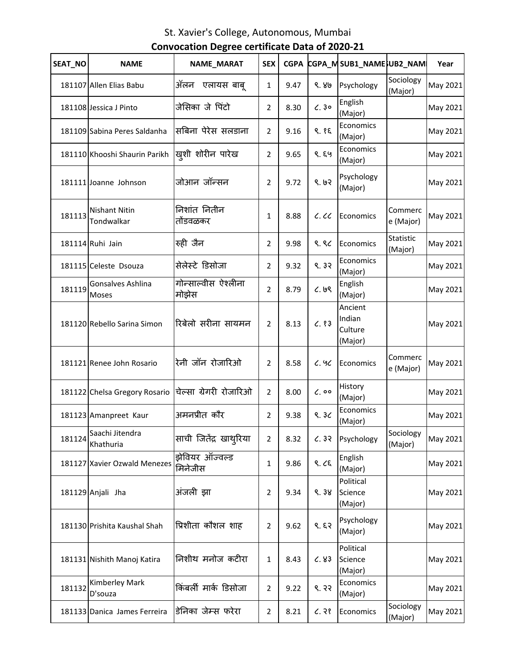| SEAT_NO | <b>NAME</b>                        | NAME_MARAT                   | <b>SEX</b>     | <b>CGPA</b> |              | CGPA_MSUB1_NAMESUB2_NAM                 |                      | Year     |
|---------|------------------------------------|------------------------------|----------------|-------------|--------------|-----------------------------------------|----------------------|----------|
|         | 181107 Allen Elias Babu            | ॲलन<br>एलायस बाबू            | $\mathbf{1}$   | 9.47        | 9.80         | Psychology                              | Sociology<br>(Major) | May 2021 |
|         | 181108 Jessica J Pinto             | जेसिका जे पिंटो              | 2              | 8.30        | C.30         | English<br>(Major)                      |                      | May 2021 |
|         | 181109 Sabina Peres Saldanha       | सबिना पेरेस सलडाना           | $\overline{2}$ | 9.16        | 9.85         | Economics<br>(Major)                    |                      | May 2021 |
|         | 181110 Khooshi Shaurin Parikh      | खुशी शोरीन पारेख             | 2              | 9.65        | ९. ६५        | Economics<br>(Major)                    |                      | May 2021 |
|         | 181111 Joanne Johnson              | जोआन जॉन्सन                  | $\overline{2}$ | 9.72        | 9.63         | Psychology<br>(Major)                   |                      | May 2021 |
| 181113  | <b>Nishant Nitin</b><br>Tondwalkar | निशांत नितीन<br>तोंडवळकर     | $\mathbf{1}$   | 8.88        | c.cc         | Economics                               | Commerc<br>e (Major) | May 2021 |
|         | 181114 Ruhi Jain                   | रुही जैन                     | 2              | 9.98        | 9.86         | Economics                               | Statistic<br>(Major) | May 2021 |
|         | 181115 Celeste Dsouza              | सेलेस्टे डिसोजा              | 2              | 9.32        | 9.32         | Economics<br>(Major)                    |                      | May 2021 |
| 181119  | Gonsalves Ashlina<br>Moses         | गोन्साल्वीस ऐश्लीना<br>मोझेस | $\overline{2}$ | 8.79        | 6.69         | English<br>(Major)                      |                      | May 2021 |
|         | 181120 Rebello Sarina Simon        | रिबेलो सरीना सायमन           | $\overline{2}$ | 8.13        | C.83         | Ancient<br>Indian<br>Culture<br>(Major) |                      | May 2021 |
|         | 181121 Renee John Rosario          | रेनी जॉन रोजारिओ             | 2              | 8.58        | 6.96         | Economics                               | Commerc<br>e (Major) | May 2021 |
|         | 181122 Chelsa Gregory Rosario      | चेल्सा ग्रेगरी रोजारिओ       | $\overline{2}$ | 8.00        | $\zeta$ , 00 | History<br>(Major)                      |                      | May 2021 |
|         | 181123 Amanpreet Kaur              | अमनप्रीत कौर                 | $\overline{2}$ | 9.38        | 9.30         | Economics<br>(Major)                    |                      | May 2021 |
| 181124  | Saachi Jitendra<br>Khathuria       | साची जितेंद्र खाथ्रिया       | $\overline{2}$ | 8.32        | 6.32         | Psychology                              | Sociology<br>(Major) | May 2021 |
|         | 181127 Xavier Ozwald Menezes       | झेवियर ऑज्वल्ड<br>मिनेजीस    | 1              | 9.86        | 9.29         | English<br>(Major)                      |                      | May 2021 |
|         | 181129 Anjali Jha                  | अंजली झा                     | $\overline{2}$ | 9.34        | 9.38         | Political<br>Science<br>(Major)         |                      | May 2021 |
|         | 181130 Prishita Kaushal Shah       | प्रिशीता कौशल शाह            | 2              | 9.62        | 9.53         | Psychology<br>(Major)                   |                      | May 2021 |
|         | 181131 Nishith Manoj Katira        | निशीथ मनोज कटीरा             | 1              | 8.43        | C.83         | Political<br>Science<br>(Major)         |                      | May 2021 |
| 181132  | <b>Kimberley Mark</b><br>D'souza   | किंबर्ली मार्क डिसोजा        | $\overline{2}$ | 9.22        | 9.33         | Economics<br>(Major)                    |                      | May 2021 |
|         | 181133 Danica James Ferreira       | डेनिका जेम्स फरेरा           | $\overline{2}$ | 8.21        | C.38         | Economics                               | Sociology<br>(Major) | May 2021 |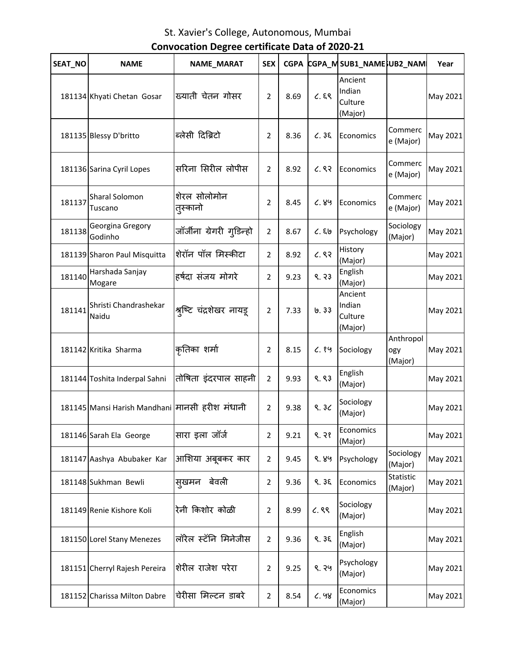| SEAT_NO | <b>NAME</b>                                    | NAME_MARAT                | <b>SEX</b>     | <b>CGPA</b> |       | CGPA_MSUB1_NAMESUB2_NAM                 |                             | Year     |
|---------|------------------------------------------------|---------------------------|----------------|-------------|-------|-----------------------------------------|-----------------------------|----------|
|         | 181134 Khyati Chetan Gosar                     | ख्याती चेतन गोसर          | $\overline{2}$ | 8.69        | C.89  | Ancient<br>Indian<br>Culture<br>(Major) |                             | May 2021 |
|         | 181135 Blessy D'britto                         | ब्लेसी दिब्रिटो           | $\overline{2}$ | 8.36        | C.35  | Economics                               | Commerc<br>e (Major)        | May 2021 |
|         | 181136 Sarina Cyril Lopes                      | सरिना सिरील लोपीस         | 2              | 8.92        | 6.83  | Economics                               | Commerc<br>e (Major)        | May 2021 |
| 181137  | Sharal Solomon<br>Tuscano                      | शेरल सोलोमोन<br>त्स्कानो  | 2              | 8.45        | 6.89  | Economics                               | Commerc<br>e (Major)        | May 2021 |
| 181138  | Georgina Gregory<br>Godinho                    | जॉर्जीना ग्रेगरी गुडिन्हो | $\overline{2}$ | 8.67        | C.56  | Psychology                              | Sociology<br>(Major)        | May 2021 |
|         | 181139 Sharon Paul Misquitta                   | शेरॉन पॉल मिस्कीटा        | $\overline{2}$ | 8.92        | 6.83  | History<br>(Major)                      |                             | May 2021 |
| 181140  | Harshada Sanjay<br>Mogare                      | हर्षदा संजय मोगरे         | 2              | 9.23        | 9.33  | English<br>(Major)                      |                             | May 2021 |
| 181141  | Shristi Chandrashekar<br>Naidu                 | श्रुष्टि चंद्रशेखर नायडू  | 2              | 7.33        | 0.33  | Ancient<br>Indian<br>Culture<br>(Major) |                             | May 2021 |
|         | 181142 Kritika Sharma                          | कृतिका शर्मा              | 2              | 8.15        | C.89  | Sociology                               | Anthropol<br>ogy<br>(Major) | May 2021 |
|         | 181144 Toshita Inderpal Sahni                  | तोषिता इंदरपाल साहनी      | $\overline{2}$ | 9.93        | 9.83  | English<br>(Major)                      |                             | May 2021 |
|         | 181145 Mansi Harish Mandhani मानसी हरीश मंधानी |                           | $\overline{2}$ | 9.38        | 9.30  | Sociology<br>(Major)                    |                             | May 2021 |
|         | 181146 Sarah Ela George                        | सारा इला जॉर्ज            | 2              | 9.21        | 9.38  | Economics<br>(Major)                    |                             | May 2021 |
|         | 181147 Aashya Abubaker Kar                     | आशिया अबूबकर कार          | 2              | 9.45        | ९. ४५ | Psychology                              | Sociology<br>(Major)        | May 2021 |
|         | 181148 Sukhman Bewli                           | बेवली<br>सुखमन            | 2              | 9.36        | 9.35  | Economics                               | Statistic<br>(Major)        | May 2021 |
|         | 181149 Renie Kishore Koli                      | रेनी किशोर कोळी           | 2              | 8.99        | 6.89  | Sociology<br>(Major)                    |                             | May 2021 |
|         | 181150 Lorel Stany Menezes                     | लॉरेल स्टॅनि मिनेजीस      | $\overline{2}$ | 9.36        | 9.35  | English<br>(Major)                      |                             | May 2021 |
|         | 181151 Cherryl Rajesh Pereira                  | शेरील राजेश परेरा         | $\overline{2}$ | 9.25        | ९. २५ | Psychology<br>(Major)                   |                             | May 2021 |
|         | 181152 Charissa Milton Dabre                   | चेरीसा मिल्टन डाबरे       | $\overline{2}$ | 8.54        | 6.98  | Economics<br>(Major)                    |                             | May 2021 |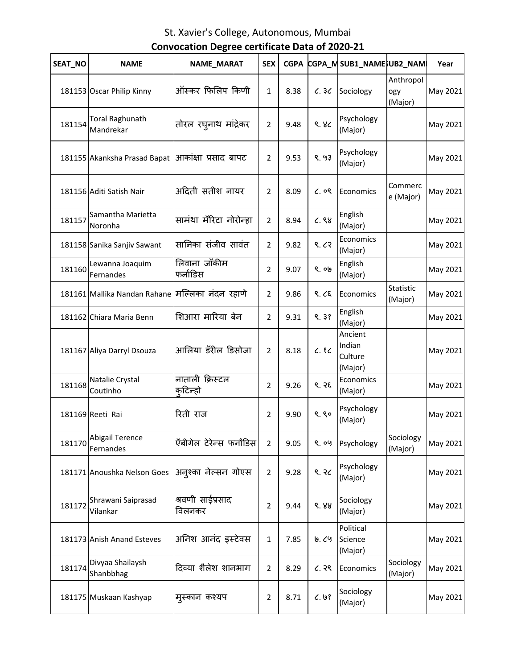| SEAT NO | <b>NAME</b>                                        | NAME_MARAT                 | <b>SEX</b>     | <b>CGPA</b> |              | CGPA_MSUB1_NAMESUB2_NAM                 |                             | Year     |
|---------|----------------------------------------------------|----------------------------|----------------|-------------|--------------|-----------------------------------------|-----------------------------|----------|
|         | 181153 Oscar Philip Kinny                          | ऑस्कर फिलिप किणी           | $\mathbf{1}$   | 8.38        | C.3C         | Sociology                               | Anthropol<br>ogy<br>(Major) | May 2021 |
| 181154  | <b>Toral Raghunath</b><br>Mandrekar                | तोरल रघ्नाथ मांद्रेकर      | 2              | 9.48        | 8.8<         | Psychology<br>(Major)                   |                             | May 2021 |
|         | 181155 Akanksha Prasad Bapat  आकांक्षा प्रसाद बापट |                            | $\overline{2}$ | 9.53        | 8.93         | Psychology<br>(Major)                   |                             | May 2021 |
|         | 181156 Aditi Satish Nair                           | अदिती सतीश नायर            | $\overline{2}$ | 8.09        | $\zeta$ , og | Economics                               | Commerc<br>e (Major)        | May 2021 |
| 181157  | Samantha Marietta<br>Noronha                       | सामंथा मॅरिटा नोरोन्हा     | $\overline{2}$ | 8.94        | C.88         | English<br>(Major)                      |                             | May 2021 |
|         | 181158 Sanika Sanjiv Sawant                        | सानिका संजीव सावंत         | $\overline{2}$ | 9.82        | 9.63         | Economics<br>(Major)                    |                             | May 2021 |
| 181160  | Lewanna Joaquim<br>Fernandes                       | लिवाना जॉकीम<br>फर्नाडिस   | 2              | 9.07        | 9.09         | English<br>(Major)                      |                             | May 2021 |
|         | 181161 Mallika Nandan Rahane मिल्लिका नंदन रहाणे   |                            | 2              | 9.86        | 9.25         | Economics                               | <b>Statistic</b><br>(Major) | May 2021 |
|         | 181162 Chiara Maria Benn                           | शिआरा मारिया बेन           | $\overline{2}$ | 9.31        | 9.38         | English<br>(Major)                      |                             | May 2021 |
|         | 181167 Aliya Darryl Dsouza                         | आलिया डॅरील डिसोजा         | $\overline{2}$ | 8.18        | C.8C         | Ancient<br>Indian<br>Culture<br>(Major) |                             | May 2021 |
| 181168  | Natalie Crystal<br>Coutinho                        | नाताली क्रिस्टल<br>कटिन्हो | 2              | 9.26        | 9.35         | Economics<br>(Major)                    |                             | May 2021 |
|         | 181169 Reeti Rai                                   | रिती राज                   | $\overline{2}$ | 9.90        | 9.80         | Psychology<br>(Major)                   |                             | May 2021 |
| 181170  | <b>Abigail Terence</b><br>Fernandes                | ऍबीगेल टेरेन्स फर्नांडिस   | $\overline{2}$ | 9.05        | ९.०५         | Psychology                              | Sociology<br>(Major)        | May 2021 |
|         | 181171 Anoushka Nelson Goes                        | अनुश्का नेल्सन गोएस        | 2              | 9.28        | ९.२८         | Psychology<br>(Major)                   |                             | May 2021 |
| 181172  | Shrawani Saiprasad<br>Vilankar                     | श्रवणी साईप्रसाद<br>विलनकर | $\overline{2}$ | 9.44        | 8.88         | Sociology<br>(Major)                    |                             | May 2021 |
|         | 181173 Anish Anand Esteves                         | अनिश आनंद इस्टेवस          | 1              | 7.85        | 0.69         | Political<br>Science<br>(Major)         |                             | May 2021 |
| 181174  | Divyaa Shailaysh<br>Shanbbhag                      | दिव्या शैलेश शानभाग        | $\overline{2}$ | 8.29        | ८.२९         | Economics                               | Sociology<br>(Major)        | May 2021 |
|         | 181175 Muskaan Kashyap                             | मुस्कान कश्यप              | 2              | 8.71        | C.98         | Sociology<br>(Major)                    |                             | May 2021 |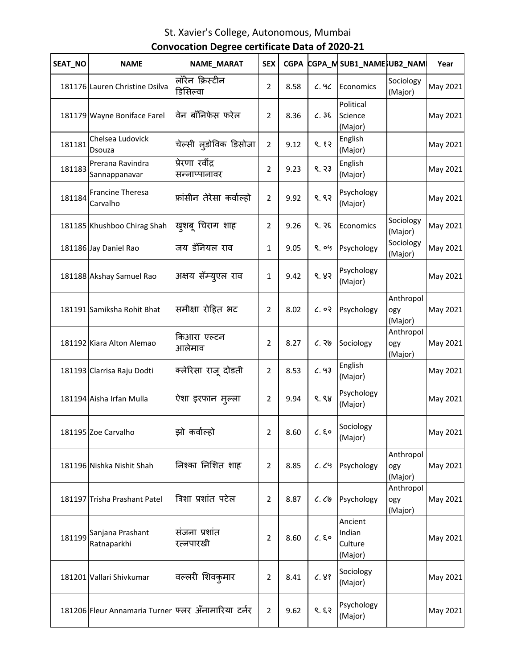| SEAT_NO | <b>NAME</b>                                        | NAME_MARAT                       | <b>SEX</b>     | <b>CGPA</b> |            | CGPA_MSUB1_NAME}UB2_NAM                 |                             | Year     |
|---------|----------------------------------------------------|----------------------------------|----------------|-------------|------------|-----------------------------------------|-----------------------------|----------|
|         | 181176 Lauren Christine Dsilva                     | लॉरेन क्रिस्टीन<br>डिसिल्वा      | 2              | 8.58        | 6.96       | Economics                               | Sociology<br>(Major)        | May 2021 |
|         | 181179 Wayne Boniface Farel                        | वेन बॉनिफेस फरेल                 | 2              | 8.36        | C.36       | Political<br>Science<br>(Major)         |                             | May 2021 |
| 181181  | Chelsea Ludovick<br>Dsouza                         | चेल्सी लुडोविक डिसोजा            | 2              | 9.12        | 8.82       | English<br>(Major)                      |                             | May 2021 |
| 181183  | Prerana Ravindra<br>Sannappanavar                  | प्रेरणा रवींद्र<br>सन्नाप्पानावर | 2              | 9.23        | 9.33       | English<br>(Major)                      |                             | May 2021 |
| 181184  | <b>Francine Theresa</b><br>Carvalho                | फ्रांसीन तेरेसा कर्वाल्हो        | $\overline{2}$ | 9.92        | 9.82       | Psychology<br>(Major)                   |                             | May 2021 |
|         | 181185 Khushboo Chirag Shah                        | खुशबू चिराग शाह                  | 2              | 9.26        | ९. २६      | Economics                               | Sociology<br>(Major)        | May 2021 |
|         | 181186 Jay Daniel Rao                              | जय डॅनियल राव                    | 1              | 9.05        | ९.०५       | Psychology                              | Sociology<br>(Major)        | May 2021 |
|         | 181188 Akshay Samuel Rao                           | अक्षय सॅम्युएल राव               | $\mathbf{1}$   | 9.42        | 8.83       | Psychology<br>(Major)                   |                             | May 2021 |
|         | 181191 Samiksha Rohit Bhat                         | समीक्षा रोहित भट                 | 2              | 8.02        | 6.03       | Psychology                              | Anthropol<br>ogy<br>(Major) | May 2021 |
|         | 181192 Kiara Alton Alemao                          | किआरा एल्टन<br>आलेमाव            | 2              | 8.27        | 6.36       | Sociology                               | Anthropol<br>ogy<br>(Major) | May 2021 |
|         | 181193 Clarrisa Raju Dodti                         | क्लेरिसा राजू दोडती              | $\overline{2}$ | 8.53        | C.93       | English<br>(Major)                      |                             | May 2021 |
|         | 181194 Aisha Irfan Mulla                           | ऐशा इरफान मुल्ला                 | 2              | 9.94        | ९. ९४      | Psychology<br>(Major)                   |                             | May 2021 |
|         | 181195 Zoe Carvalho                                | झो कर्वाल्हो                     | $\overline{2}$ | 8.60        | $c.$ EO    | Sociology<br>(Major)                    |                             | May 2021 |
|         | 181196 Nishka Nishit Shah                          | निश्का निशित शाह                 | 2              | 8.85        | C. C9      | Psychology                              | Anthropol<br>ogy<br>(Major) | May 2021 |
|         | 181197 Trisha Prashant Patel                       | त्रिशा प्रशांत पटेल              | 2              | 8.87        | $C.$ $C.9$ | Psychology                              | Anthropol<br>ogy<br>(Major) | May 2021 |
| 181199  | Sanjana Prashant<br>Ratnaparkhi                    | संजना प्रशांत<br>रत्नपारखी       | 2              | 8.60        | $C.$ EO    | Ancient<br>Indian<br>Culture<br>(Major) |                             | May 2021 |
|         | 181201 Vallari Shivkumar                           | वल्लरी शिवकुमार                  | 2              | 8.41        | C.88       | Sociology<br>(Major)                    |                             | May 2021 |
|         | 181206 Fleur Annamaria Turner फ्लर ॲनामारिया टर्नर |                                  | $\overline{2}$ | 9.62        | 9.53       | Psychology<br>(Major)                   |                             | May 2021 |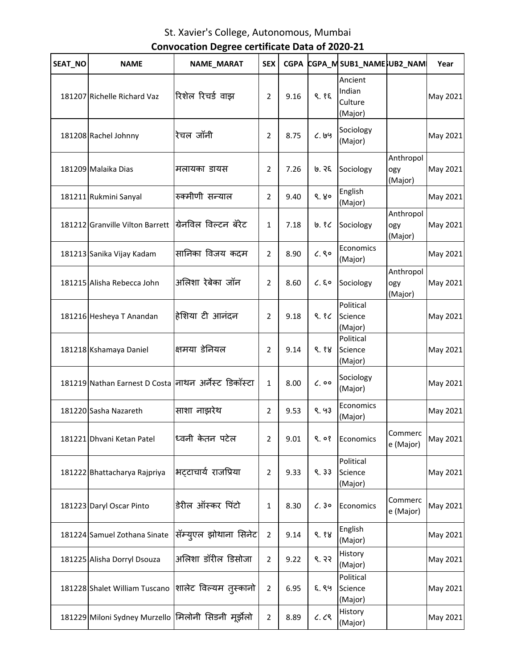| SEAT NO | <b>NAME</b>                                          | NAME_MARAT            | <b>SEX</b>     | <b>CGPA</b> |              | CGPA_MSUB1_NAMESUB2_NAM                 |                             | Year     |
|---------|------------------------------------------------------|-----------------------|----------------|-------------|--------------|-----------------------------------------|-----------------------------|----------|
|         | 181207 Richelle Richard Vaz                          | रिशेल रिचर्ड वाझ      | $\overline{2}$ | 9.16        | 9.85         | Ancient<br>Indian<br>Culture<br>(Major) |                             | May 2021 |
|         | 181208 Rachel Johnny                                 | रेचल जॉनी             | 2              | 8.75        | 6.199        | Sociology<br>(Major)                    |                             | May 2021 |
|         | 181209 Malaika Dias                                  | मलायका डायस           | $\overline{2}$ | 7.26        | ७. २६        | Sociology                               | Anthropol<br>ogy<br>(Major) | May 2021 |
|         | 181211 Rukmini Sanyal                                | रुक्मीणी सन्न्याल     | $\overline{2}$ | 9.40        | 9.80         | English<br>(Major)                      |                             | May 2021 |
|         | 181212 Granville Vilton Barrett                      | ग्रिनविल विल्टन बॅरेट | $\mathbf{1}$   | 7.18        | ७. १८        | Sociology                               | Anthropol<br>ogy<br>(Major) | May 2021 |
|         | 181213 Sanika Vijay Kadam                            | सानिका विजय कदम       | $\overline{2}$ | 8.90        | C.80         | Economics<br>(Major)                    |                             | May 2021 |
|         | 181215 Alisha Rebecca John                           | अलिशा रेबेका जॉन      | $\overline{2}$ | 8.60        | $C.$ $\S$ o  | Sociology                               | Anthropol<br>ogy<br>(Major) | May 2021 |
|         | 181216 Hesheya T Anandan                             | हेशिया टी आनंदन       | $\overline{2}$ | 9.18        | 9.86         | Political<br>Science<br>(Major)         |                             | May 2021 |
|         | 181218 Kshamaya Daniel                               | क्षमया डेनियल         | $\overline{2}$ | 9.14        | 9.88         | Political<br>Science<br>(Major)         |                             | May 2021 |
|         | 181219 Nathan Earnest D Costa नाथन अर्नेस्ट डिकॉस्टा |                       | $\mathbf{1}$   | 8.00        | $\zeta$ , 00 | Sociology<br>(Major)                    |                             | May 2021 |
|         | 181220 Sasha Nazareth                                | साशा नाझरेथ           | $\overline{2}$ | 9.53        | 8.93         | Economics<br>(Major)                    |                             | May 2021 |
|         | 181221 Dhvani Ketan Patel                            | ध्वनी केतन पटेल       | $\overline{2}$ | 9.01        | 9.08         | Economics                               | Commerc<br>e (Major)        | May 2021 |
|         | 181222 Bhattacharya Rajpriya                         | भट्टाचार्य राजप्रिया  | 2              | 9.33        | 9.33         | Political<br>Science<br>(Major)         |                             | May 2021 |
|         | 181223 Daryl Oscar Pinto                             | डेरील ऑस्कर पिंटो     | 1              | 8.30        | 6.30         | Economics                               | Commerc<br>e (Major)        | May 2021 |
|         | 181224 Samuel Zothana Sinate                         | सॅम्युएल झोथाना सिनेट | $\overline{2}$ | 9.14        | 9.88         | English<br>(Major)                      |                             | May 2021 |
|         | 181225 Alisha Dorryl Dsouza                          | अलिशा डॉरील डिसोजा    | 2              | 9.22        | 8.33         | History<br>(Major)                      |                             | May 2021 |
|         | 181228 Shalet William Tuscano                        | शालेट विल्यम तुस्कानो | $\overline{2}$ | 6.95        | ६. ९५        | Political<br>Science<br>(Major)         |                             | May 2021 |
|         | 181229 Miloni Sydney Murzello  मिलोनी सिडनी मूर्झेलो |                       | $\overline{2}$ | 8.89        | C. C         | History<br>(Major)                      |                             | May 2021 |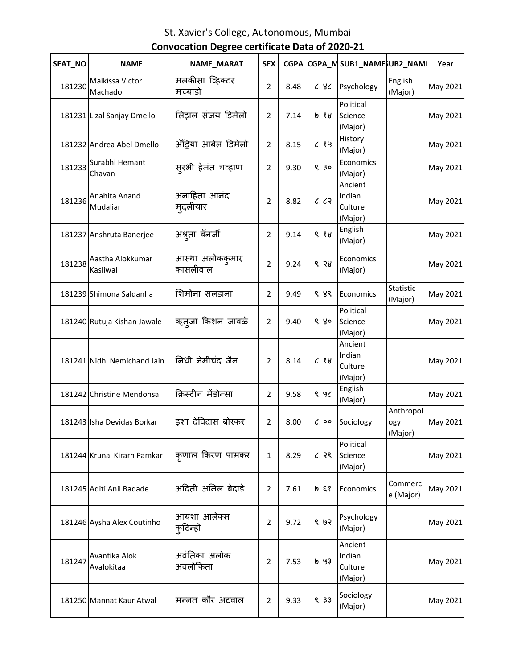| SEAT_NO | <b>NAME</b>                  | NAME_MARAT                  | <b>SEX</b>     | <b>CGPA</b> |              | CGPA_MSUB1_NAME}UB2_NAMI                |                             | Year     |
|---------|------------------------------|-----------------------------|----------------|-------------|--------------|-----------------------------------------|-----------------------------|----------|
| 181230  | Malkissa Victor<br>Machado   | मलकीसा व्हिक्टर<br>मच्याडो  | $\overline{2}$ | 8.48        | c.8c         | Psychology                              | English<br>(Major)          | May 2021 |
|         | 181231 Lizal Sanjay Dmello   | लिझल संजय डिमेलो            | $\overline{2}$ | 7.14        | ७.१४         | Political<br>Science<br>(Major)         |                             | May 2021 |
|         | 181232 Andrea Abel Dmello    | अँड्रिया आबेल डिमेलो        | $\overline{2}$ | 8.15        | C.89         | History<br>(Major)                      |                             | May 2021 |
| 181233  | Surabhi Hemant<br>Chavan     | सूरभी हेमंत चव्हाण          | $\overline{2}$ | 9.30        | 9.30         | Economics<br>(Major)                    |                             | May 2021 |
| 181236  | Anahita Anand<br>Mudaliar    | अनाहिता आनंद<br>म्उदलीयार   | $\overline{2}$ | 8.82        | C. C2        | Ancient<br>Indian<br>Culture<br>(Major) |                             | May 2021 |
|         | 181237 Anshruta Banerjee     | अंश्रुता बॅनर्जी            | $\overline{2}$ | 9.14        | 9.88         | English<br>(Major)                      |                             | May 2021 |
| 181238  | Aastha Alokkumar<br>Kasliwal | आस्था अलोककुमार<br>कासलीवाल | $\overline{2}$ | 9.24        | 9.38         | Economics<br>(Major)                    |                             | May 2021 |
|         | 181239 Shimona Saldanha      | शिमोना सलडाना               | $\overline{2}$ | 9.49        | ९. ४९        | Economics                               | Statistic<br>(Major)        | May 2021 |
|         | 181240 Rutuja Kishan Jawale  | ऋत्जा किशन जावळे            | $\overline{2}$ | 9.40        | 9.80         | Political<br>Science<br>(Major)         |                             | May 2021 |
|         | 181241 Nidhi Nemichand Jain  | निधी नेमीचंद जैन            | 2              | 8.14        | C.88         | Ancient<br>Indian<br>Culture<br>(Major) |                             | May 2021 |
|         | 181242 Christine Mendonsa    | क्रिस्टीन मेंडोन्सा         | $\overline{2}$ | 9.58        | 9.96         | English<br>(Major)                      |                             | May 2021 |
|         | 181243 Isha Devidas Borkar   | इशा देविदास बोरकर           | $\overline{2}$ | 8.00        | $\zeta$ , 00 | Sociology                               | Anthropol<br>ogy<br>(Major) | May 2021 |
|         | 181244 Krunal Kirarn Pamkar  | कृणाल किरण पामकर            | $\mathbf{1}$   | 8.29        | 6.39         | Political<br>Science<br>(Major)         |                             | May 2021 |
|         | 181245 Aditi Anil Badade     | अदिती अनिल बेदाडे           | $\overline{2}$ | 7.61        | ७. ६१        | Economics                               | Commerc<br>e (Major)        | May 2021 |
|         | 181246 Aysha Alex Coutinho   | आयशा आलेक्स<br>कुटिन्हो     | $\overline{2}$ | 9.72        | 9.62         | Psychology<br>(Major)                   |                             | May 2021 |
| 181247  | Avantika Alok<br>Avalokitaa  | अवंतिका अलोक<br>अवलोकिता    | $\overline{2}$ | 7.53        | 19.93        | Ancient<br>Indian<br>Culture<br>(Major) |                             | May 2021 |
|         | 181250 Mannat Kaur Atwal     | मन्नत कौर अटवाल             | $\overline{2}$ | 9.33        | 9.33         | Sociology<br>(Major)                    |                             | May 2021 |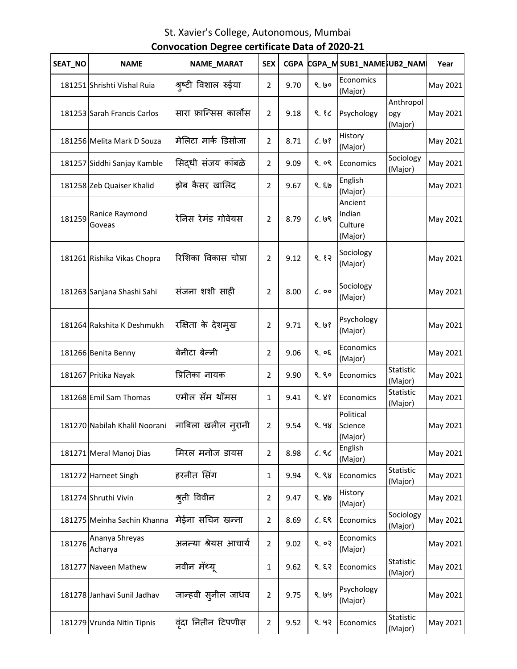| SEAT_NO | <b>NAME</b>                   | NAME_MARAT                  | <b>SEX</b>     | <b>CGPA</b> |              | CGPA_MSUB1_NAMESUB2_NAM                 |                             | Year     |
|---------|-------------------------------|-----------------------------|----------------|-------------|--------------|-----------------------------------------|-----------------------------|----------|
|         | 181251 Shrishti Vishal Ruia   | श्रृष्टी विशाल रुईया        | $\overline{2}$ | 9.70        | 9.60         | Economics<br>(Major)                    |                             | May 2021 |
|         | 181253 Sarah Francis Carlos   | सारा फ्रान्सिस कार्लोस      | $\overline{2}$ | 9.18        | 9.86         | Psychology                              | Anthropol<br>ogy<br>(Major) | May 2021 |
|         | 181256 Melita Mark D Souza    | मेलिटा मार्क डिसोजा         | $\overline{2}$ | 8.71        | C.98         | History<br>(Major)                      |                             | May 2021 |
|         | 181257 Siddhi Sanjay Kamble   | सिदधी संजय कांबळे           | $\overline{2}$ | 9.09        | ९. ०९        | Economics                               | Sociology<br>(Major)        | May 2021 |
|         | 181258 Zeb Quaiser Khalid     | झेब कैसर खालिद              | $\overline{2}$ | 9.67        | ९. ६७        | English<br>(Major)                      |                             | May 2021 |
| 181259  | Ranice Raymond<br>Goveas      | रेनिस रेमंड गोवेयस          | $\overline{2}$ | 8.79        | C.99         | Ancient<br>Indian<br>Culture<br>(Major) |                             | May 2021 |
|         | 181261 Rishika Vikas Chopra   | रिशिका विकास चोप्रा         | $\overline{2}$ | 9.12        | 9.82         | Sociology<br>(Major)                    |                             | May 2021 |
|         | 181263 Sanjana Shashi Sahi    | संजना शशी साही              | 2              | 8.00        | $\zeta$ , 00 | Sociology<br>(Major)                    |                             | May 2021 |
|         | 181264 Rakshita K Deshmukh    | रक्षिता के देशम्ख           | $\overline{2}$ | 9.71        | 9.68         | Psychology<br>(Major)                   |                             | May 2021 |
|         | 181266 Benita Benny           | बेनीटा बेन्नी               | $\overline{2}$ | 9.06        | 9.05         | Economics<br>(Major)                    |                             | May 2021 |
|         | 181267 Pritika Nayak          | प्रितिका नायक               | $\overline{2}$ | 9.90        | 9.80         | Economics                               | Statistic<br>(Major)        | May 2021 |
|         | 181268 Emil Sam Thomas        | एमील सॅम थॉमस               | 1              | 9.41        | ९. ४१        | Economics                               | Statistic<br>(Major)        | May 2021 |
|         | 181270 Nabilah Khalil Noorani | नाबिला खलील न् <b>रानी</b>  | $\overline{2}$ | 9.54        | ९. ५४        | Political<br>Science<br>(Major)         |                             | May 2021 |
|         | 181271 Meral Manoj Dias       | मिरल मनोज डायस              | $\overline{2}$ | 8.98        | C.8C         | English<br>(Major)                      |                             | May 2021 |
|         | 181272 Harneet Singh          | हरनीत सिंग                  | 1              | 9.94        | ९.९४         | Economics                               | <b>Statistic</b><br>(Major) | May 2021 |
|         | 181274 Shruthi Vivin          | श्रुती विवीन                | $\overline{2}$ | 9.47        | ९. ४७        | History<br>(Major)                      |                             | May 2021 |
|         | 181275 Meinha Sachin Khanna   | मेईना सचिन खन्ना            | $\overline{2}$ | 8.69        | C.59         | Economics                               | Sociology<br>(Major)        | May 2021 |
| 181276  | Ananya Shreyas<br>Acharya     | अनन्या श्रेयस आचार्य        | $\overline{2}$ | 9.02        | ९.०२         | Economics<br>(Major)                    |                             | May 2021 |
|         | 181277 Naveen Mathew          | नवीन मॅथ्यू                 | 1              | 9.62        | 9.53         | Economics                               | Statistic<br>(Major)        | May 2021 |
|         | 181278 Janhavi Sunil Jadhav   | जान्हवी स् <b>नील जाध</b> व | $\overline{2}$ | 9.75        | ९. ७५        | Psychology<br>(Major)                   |                             | May 2021 |
|         | 181279 Vrunda Nitin Tipnis    | वृंदा नितीन टिपणीस          | $\overline{2}$ | 9.52        | ९. ५२        | Economics                               | Statistic<br>(Major)        | May 2021 |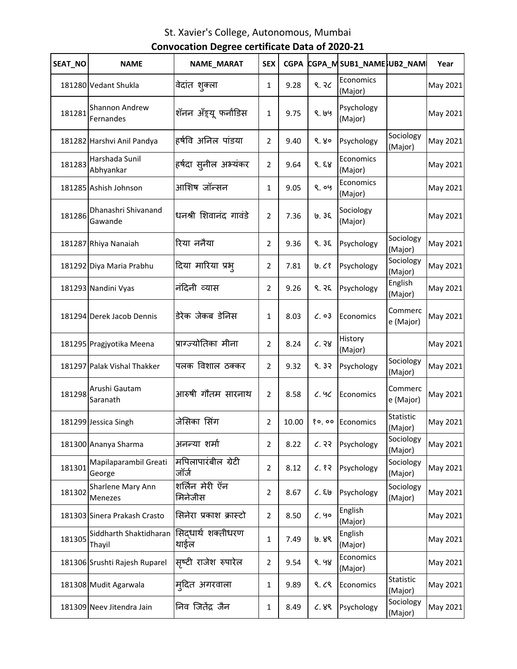| SEAT_NO | <b>NAME</b>                        | NAME_MARAT                   | <b>SEX</b>     | <b>CGPA</b> |       | CGPA_MSUB1_NAMESUB2_NAM |                      | Year     |
|---------|------------------------------------|------------------------------|----------------|-------------|-------|-------------------------|----------------------|----------|
|         | 181280 Vedant Shukla               | वेदांत शुक्ला                | 1              | 9.28        | ९. २८ | Economics<br>(Major)    |                      | May 2021 |
| 181281  | <b>Shannon Andrew</b><br>Fernandes | शॅनन अँड्र्यू फर्नांडिस      | $\mathbf{1}$   | 9.75        | ९. ७५ | Psychology<br>(Major)   |                      | May 2021 |
|         | 181282 Harshvi Anil Pandya         | हर्षवि अनिल पांडया           | 2              | 9.40        | 9.80  | Psychology              | Sociology<br>(Major) | May 2021 |
| 181283  | Harshada Sunil<br>Abhyankar        | हर्षदा स्नील अभ्यंकर         | 2              | 9.64        | 9.59  | Economics<br>(Major)    |                      | May 2021 |
|         | 181285 Ashish Johnson              | आशिष जॉन्सन                  | $\mathbf{1}$   | 9.05        | ९.०५  | Economics<br>(Major)    |                      | May 2021 |
| 181286  | Dhanashri Shivanand<br>Gawande     | धनश्री शिवानंद गावंडे        | $\overline{2}$ | 7.36        | 19.35 | Sociology<br>(Major)    |                      | May 2021 |
|         | 181287 Rhiya Nanaiah               | रिया ननैया                   | 2              | 9.36        | 9.35  | Psychology              | Sociology<br>(Major) | May 2021 |
|         | 181292 Diya Maria Prabhu           | दिया मारिया प्रभ्            | 2              | 7.81        | 9.68  | Psychology              | Sociology<br>(Major) | May 2021 |
|         | 181293 Nandini Vyas                | नंदिनी व्यास                 | $\overline{2}$ | 9.26        | ९. २६ | Psychology              | English<br>(Major)   | May 2021 |
|         | 181294 Derek Jacob Dennis          | डेरेक जेकब डेनिस             | 1              | 8.03        | C. 03 | Economics               | Commerc<br>e (Major) | May 2021 |
|         | 181295 Pragjyotika Meena           | प्राग्ज्योतिका मीना          | $\overline{2}$ | 8.24        | C.38  | History<br>(Major)      |                      | May 2021 |
|         | 181297 Palak Vishal Thakker        | पलक विशाल ठक्कर              | 2              | 9.32        | 9.32  | Psychology              | Sociology<br>(Major) | May 2021 |
| 181298  | Arushi Gautam<br>Saranath          | आरुषी गौतम सारनाथ            | 2              | 8.58        | C.9C  | Economics               | Commerc<br>e (Major) | May 2021 |
|         | 181299 Jessica Singh               | जेसिका सिंग                  | 2              | 10.00       | 80,00 | Economics               | Statistic<br>(Major) | May 2021 |
|         | 181300 Ananya Sharma               | अनन्या शर्मा                 | 2              | 8.22        | 6.33  | Psychology              | Sociology<br>(Major) | May 2021 |
| 181301  | Mapilaparambil Greati<br>George    | मपिलापारंबील ग्रेटी<br>जॉर्ज | $\overline{2}$ | 8.12        | C.87  | Psychology              | Sociology<br>(Major) | May 2021 |
| 181302  | Sharlene Mary Ann<br>Menezes       | शर्लिन मेरी ऍन<br>मिनेजीस    | $\overline{2}$ | 8.67        | C.56  | Psychology              | Sociology<br>(Major) | May 2021 |
|         | 181303 Sinera Prakash Crasto       | सिनेरा प्रकाश क्रास्टो       | $\overline{2}$ | 8.50        | 6.90  | English<br>(Major)      |                      | May 2021 |
| 181305  | Siddharth Shaktidharan<br>Thayil   | सिद्धार्थ शक्तीधरण<br>थाईल   | $\mathbf{1}$   | 7.49        | ७. ४९ | English<br>(Major)      |                      | May 2021 |
|         | 181306 Srushti Rajesh Ruparel      | सृष्टी राजेश रुपारेल         | $\overline{2}$ | 9.54        | ९. ५४ | Economics<br>(Major)    |                      | May 2021 |
|         | 181308 Mudit Agarwala              | मुदित अगरवाला                | 1              | 9.89        | 9.69  | Economics               | Statistic<br>(Major) | May 2021 |
|         | 181309 Neev Jitendra Jain          | निव जितेंद्र जैन             | 1              | 8.49        | 6.89  | Psychology              | Sociology<br>(Major) | May 2021 |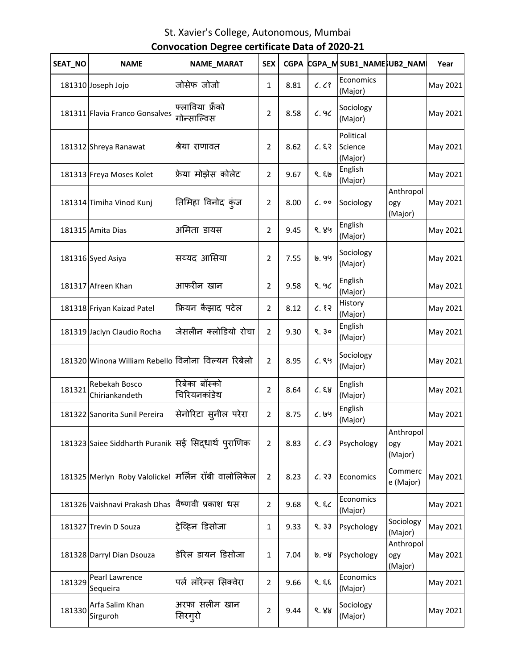| SEAT NO | <b>NAME</b>                                          | <b>NAME_MARAT</b>               | <b>SEX</b>     | <b>CGPA</b> |              | CGPA_MSUB1_NAMESUB2_NAM         |                             | Year     |
|---------|------------------------------------------------------|---------------------------------|----------------|-------------|--------------|---------------------------------|-----------------------------|----------|
|         | 181310 Joseph Jojo                                   | जोसेफ जोजो                      | $\mathbf{1}$   | 8.81        | C. C         | Economics<br>(Major)            |                             | May 2021 |
|         | 181311 Flavia Franco Gonsalves                       | फ्लाविया फ्रॅंको<br>गोन्साल्विस | $\overline{2}$ | 8.58        | 6.96         | Sociology<br>(Major)            |                             | May 2021 |
|         | 181312 Shreya Ranawat                                | श्रेया राणावत                   | 2              | 8.62        | 6.83         | Political<br>Science<br>(Major) |                             | May 2021 |
|         | 181313 Freya Moses Kolet                             | फ्रेया मोझेस कोलेट              | 2              | 9.67        | 9.59         | English<br>(Major)              |                             | May 2021 |
|         | 181314 Timiha Vinod Kunj                             | तिमिहा विनोद कुंज               | 2              | 8.00        | $\zeta$ , 00 | Sociology                       | Anthropol<br>ogy<br>(Major) | May 2021 |
|         | 181315 Amita Dias                                    | अमिता डायस                      | 2              | 9.45        | ९. ४५        | English<br>(Major)              |                             | May 2021 |
|         | 181316 Syed Asiya                                    | सय्यद आसिया                     | 2              | 7.55        | 9. 99        | Sociology<br>(Major)            |                             | May 2021 |
|         | 181317 Afreen Khan                                   | आफरीन खान                       | 2              | 9.58        | 9.90         | English<br>(Major)              |                             | May 2021 |
|         | 181318 Friyan Kaizad Patel                           | फ्रियन कैझाद पटेल               | $\overline{2}$ | 8.12        | C.87         | History<br>(Major)              |                             | May 2021 |
|         | 181319 Jaclyn Claudio Rocha                          | जेसलीन क्लोडियो रोचा            | $\overline{2}$ | 9.30        | 9.30         | English<br>(Major)              |                             | May 2021 |
|         | 181320 Winona William Rebello विनोना विल्यम रिबेलो   |                                 | 2              | 8.95        | C.89         | Sociology<br>(Major)            |                             | May 2021 |
| 181321  | Rebekah Bosco<br>Chiriankandeth                      | रिबेका बॉस्को<br>चिरियनकांडेथ   | $\overline{2}$ | 8.64        | C.88         | English<br>(Major)              |                             | May 2021 |
|         | 181322 Sanorita Sunil Pereira                        | सेनोरिटा स् <b>नील परेरा</b>    | $\overline{2}$ | 8.75        | 6.199        | English<br>(Major)              |                             | May 2021 |
|         | 181323 Saiee Siddharth Puranik सई सिद्धार्थ प्राणिक  |                                 | $\overline{2}$ | 8.83        | C. C3        | Psychology                      | Anthropol<br>ogy<br>(Major) | May 2021 |
|         | 181325 Merlyn Roby Valolickel मिर्लिन रॉबी वालोलिकेल |                                 | 2              | 8.23        | C.33         | Economics                       | Commerc<br>e (Major)        | May 2021 |
|         | 181326 Vaishnavi Prakash Dhas                        | विष्णवी प्रकाश धस               | 2              | 9.68        | 9.8          | Economics<br>(Major)            |                             | May 2021 |
|         | 181327 Trevin D Souza                                | ट्रेव्हिन डिसोजा                | $\mathbf{1}$   | 9.33        | 9.33         | Psychology                      | Sociology<br>(Major)        | May 2021 |
|         | 181328 Darryl Dian Dsouza                            | डेरिल डायन डिसोजा               | $\mathbf{1}$   | 7.04        | ७. ०४        | Psychology                      | Anthropol<br>ogy<br>(Major) | May 2021 |
| 181329  | Pearl Lawrence<br>Sequeira                           | पर्ल लॉरेन्स सिक्वेरा           | $\overline{2}$ | 9.66        | 9.59         | Economics<br>(Major)            |                             | May 2021 |
| 181330  | Arfa Salim Khan<br>Sirguroh                          | अरफा सलीम खान<br>सिरग्रो        | $\overline{2}$ | 9.44        | 9.88         | Sociology<br>(Major)            |                             | May 2021 |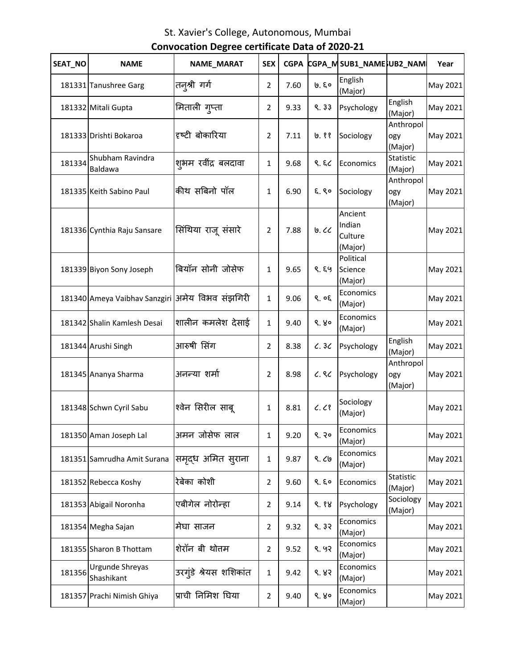| SEAT NO | <b>NAME</b>                                      | NAME_MARAT             | <b>SEX</b>     | <b>CGPA</b> |       | CGPA_MSUB1_NAMESUB2_NAM                 |                             | Year     |
|---------|--------------------------------------------------|------------------------|----------------|-------------|-------|-----------------------------------------|-----------------------------|----------|
|         | 181331 Tanushree Garg                            | तन्श्री गर्ग           | $\overline{2}$ | 7.60        | ७.६०  | English<br>(Major)                      |                             | May 2021 |
|         | 181332 Mitali Gupta                              | मिताली गुप्ता          | 2              | 9.33        | 9.33  | Psychology                              | English<br>(Major)          | May 2021 |
|         | 181333 Drishti Bokaroa                           | दृष्टी बोकारिया        | 2              | 7.11        | ७. ११ | Sociology                               | Anthropol<br>ogy<br>(Major) | May 2021 |
| 181334  | Shubham Ravindra<br>Baldawa                      | शभम रवींद्र बलदावा     | $\mathbf{1}$   | 9.68        | 9.8   | Economics                               | Statistic<br>(Major)        | May 2021 |
|         | 181335 Keith Sabino Paul                         | कीथ सबिनो पॉल          | $\mathbf{1}$   | 6.90        | E.80  | Sociology                               | Anthropol<br>ogy<br>(Major) | May 2021 |
|         | 181336 Cynthia Raju Sansare                      | सिंथिया राजू संसारे    | 2              | 7.88        | 0.00  | Ancient<br>Indian<br>Culture<br>(Major) |                             | May 2021 |
|         | 181339 Biyon Sony Joseph                         | बियॉन सोनी जोसेफ       | $\mathbf{1}$   | 9.65        | 8.89  | Political<br>Science<br>(Major)         |                             | May 2021 |
|         | 181340 Ameya Vaibhav Sanzgiri  अमेय विभव संझगिरी |                        | $\mathbf{1}$   | 9.06        | 9.05  | Economics<br>(Major)                    |                             | May 2021 |
|         | 181342 Shalin Kamlesh Desai                      | शालीन कमलेश देसाई      | $\mathbf{1}$   | 9.40        | 9.80  | Economics<br>(Major)                    |                             | May 2021 |
|         | 181344 Arushi Singh                              | आरुषी सिंग             | 2              | 8.38        | C.3C  | Psychology                              | English<br>(Major)          | May 2021 |
|         | 181345 Ananya Sharma                             | अनन्या शर्मा           | $\overline{2}$ | 8.98        | C.8C  | Psychology                              | Anthropol<br>ogy<br>(Major) | May 2021 |
|         | 181348 Schwn Cyril Sabu                          | श्वेन सिरील साबू       | $\mathbf{1}$   | 8.81        | C. C  | Sociology<br>(Major)                    |                             | May 2021 |
|         | 181350 Aman Joseph Lal                           | अमन जोसेफ लाल          | 1              | 9.20        | 9.30  | Economics<br>(Major)                    |                             | May 2021 |
|         | 181351 Samrudha Amit Surana                      | समृद्ध अमित सुराना     | 1              | 9.87        | 9.69  | Economics<br>(Major)                    |                             | May 2021 |
|         | 181352 Rebecca Koshy                             | रेबेका कोशी            | $\overline{2}$ | 9.60        | 9.80  | Economics                               | Statistic<br>(Major)        | May 2021 |
|         | 181353 Abigail Noronha                           | एबीगेल नोरोन्हा        | 2              | 9.14        | 9.88  | Psychology                              | Sociology<br>(Major)        | May 2021 |
|         | 181354 Megha Sajan                               | मेघा साजन              | $\overline{2}$ | 9.32        | 9.32  | Economics<br>(Major)                    |                             | May 2021 |
|         | 181355 Sharon B Thottam                          | शेरॉन बी थोतम          | $\overline{2}$ | 9.52        | 9.92  | Economics<br>(Major)                    |                             | May 2021 |
| 181356  | Urgunde Shreyas<br>Shashikant                    | उरगुंडे श्रेयस शशिकांत | 1              | 9.42        | 8.83  | Economics<br>(Major)                    |                             | May 2021 |
|         | 181357 Prachi Nimish Ghiya                       | प्राची निमिश घिया      | $\overline{2}$ | 9.40        | 9.80  | Economics<br>(Major)                    |                             | May 2021 |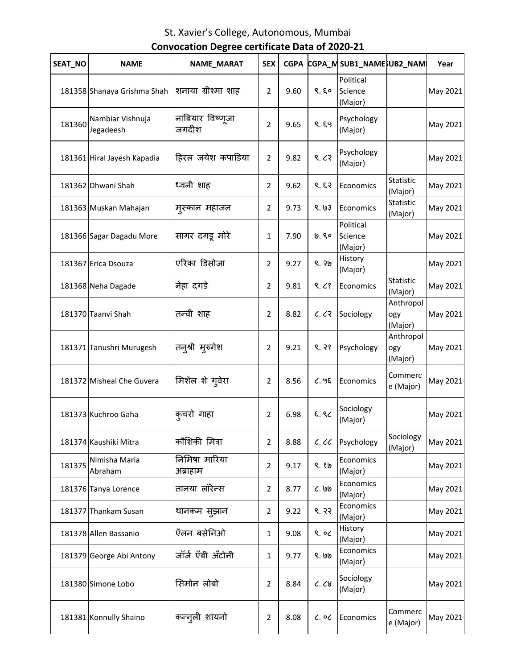| SEAT_NO | <b>NAME</b>                   | NAME_MARAT                 | <b>SEX</b>     | <b>CGPA</b> |           | CGPA_MSUB1_NAME;UB2_NAM         |                             | Year     |
|---------|-------------------------------|----------------------------|----------------|-------------|-----------|---------------------------------|-----------------------------|----------|
|         | 181358 Shanaya Grishma Shah   | शनाया ग्रीश्मा शाह         | $\overline{2}$ | 9.60        | 9.80      | Political<br>Science<br>(Major) |                             | May 2021 |
| 181360  | Nambiar Vishnuja<br>Jegadeesh | नांबियार विष्णूजा<br>जगदीश | $\overline{2}$ | 9.65        | 8.89      | Psychology<br>(Major)           |                             | May 2021 |
|         | 181361 Hiral Jayesh Kapadia   | हिरल जयेश कपाडिया          | $\overline{2}$ | 9.82        | 9.63      | Psychology<br>(Major)           |                             | May 2021 |
|         | 181362 Dhwani Shah            | ध्वनी शाह                  | $\overline{2}$ | 9.62        | 9.53      | Economics                       | Statistic<br>(Major)        | May 2021 |
|         | 181363 Muskan Mahajan         | मुस्कान महाजन              | $\overline{2}$ | 9.73        | 8.63      | Economics                       | Statistic<br>(Major)        | May 2021 |
|         | 181366 Sagar Dagadu More      | सागर दगडू मोरे             | 1              | 7.90        | ७.९०      | Political<br>Science<br>(Major) |                             | May 2021 |
|         | 181367 Erica Dsouza           | एरिका डिसोजा               | $\overline{2}$ | 9.27        | 9.36      | History<br>(Major)              |                             | May 2021 |
|         | 181368 Neha Dagade            | नेहा दगडे                  | $\overline{2}$ | 9.81        | 9.68      | Economics                       | Statistic<br>(Major)        | May 2021 |
|         | 181370 Taanvi Shah            | तन्वी शाह                  | 2              | 8.82        | 6.63      | Sociology                       | Anthropol<br>ogy<br>(Major) | May 2021 |
|         | 181371 Tanushri Murugesh      | तन्श्री मुरुगेश            | $\overline{2}$ | 9.21        | 9.38      | Psychology                      | Anthropol<br>ogy<br>(Major) | May 2021 |
|         | 181372 Misheal Che Guvera     | मिशेल शे गुवेरा            | $\overline{2}$ | 8.56        | 6.95      | Economics                       | Commerc<br>e (Major)        | May 2021 |
|         | 181373 Kuchroo Gaha           | कुचरो गाहा                 | $\overline{2}$ | 6.98        | ६.९८      | Sociology<br>(Major)            |                             | May 2021 |
|         | 181374 Kaushiki Mitra         | कौशिकी मित्रा              | $\overline{2}$ | 8.88        | c.cc      | Psychology                      | Sociology<br>(Major)        | May 2021 |
| 181375  | Nimisha Maria<br>Abraham      | निमिषा मारिया<br>अब्राहाम  | $\overline{2}$ | 9.17        | ९.१७      | Economics<br>(Major)            |                             | May 2021 |
|         | 181376 Tanya Lorence          | तानया लॉरेन्स              | $\overline{2}$ | 8.77        | $C.$ $99$ | Economics<br>(Major)            |                             | May 2021 |
|         | 181377 Thankam Susan          | थानकम सुझान                | $\overline{2}$ | 9.22        | 8.33      | Economics<br>(Major)            |                             | May 2021 |
|         | 181378 Allen Bassanio         | ऍलन बसेनिओ                 | $\mathbf{1}$   | 9.08        | 9.06      | History<br>(Major)              |                             | May 2021 |
|         | 181379 George Abi Antony      | जॉर्ज ऍबी अँटोनी           | 1              | 9.77        | ९. ७७     | Economics<br>(Major)            |                             | May 2021 |
|         | 181380 Simone Lobo            | सिमोन लोबो                 | 2              | 8.84        | C. C8     | Sociology<br>(Major)            |                             | May 2021 |
|         | 181381 Konnully Shaino        | कन्नूली शायनो              | $\overline{2}$ | 8.08        | $c.$ oc   | Economics                       | Commerc<br>e (Major)        | May 2021 |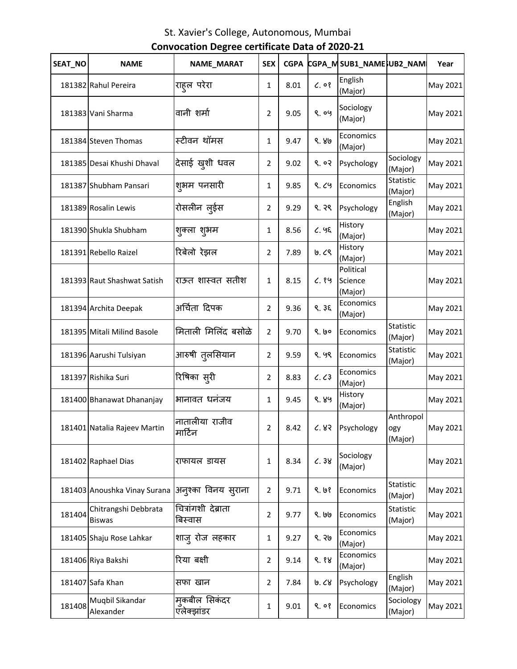| SEAT_NO | <b>NAME</b>                           | NAME_MARAT                     | <b>SEX</b>     | <b>CGPA</b> |              | CGPA_MSUB1_NAME}UB2_NAM         |                             | Year     |
|---------|---------------------------------------|--------------------------------|----------------|-------------|--------------|---------------------------------|-----------------------------|----------|
|         | 181382 Rahul Pereira                  | राहूल परेरा                    | 1              | 8.01        | $C.$ $0$ $8$ | English<br>(Major)              |                             | May 2021 |
|         | 181383 Vani Sharma                    | वानी शर्मा                     | $\overline{2}$ | 9.05        | 8.09         | Sociology<br>(Major)            |                             | May 2021 |
|         | 181384 Steven Thomas                  | स्टीवन थॉमस                    | 1              | 9.47        | ९. ४७        | Economics<br>(Major)            |                             | May 2021 |
|         | 181385 Desai Khushi Dhaval            | देसाई खुशी धवल                 | 2              | 9.02        | 9.02         | Psychology                      | Sociology<br>(Major)        | May 2021 |
|         | 181387 Shubham Pansari                | श्#म पनसारी                    | 1              | 9.85        | 9.69         | Economics                       | Statistic<br>(Major)        | May 2021 |
|         | 181389 Rosalin Lewis                  | रोसलीन ल्ईस                    | 2              | 9.29        | ९. २९        | Psychology                      | English<br>(Major)          | May 2021 |
|         | 181390 Shukla Shubham                 | शुक्ला शुभम                    | $\mathbf{1}$   | 8.56        | 6.95         | History<br>(Major)              |                             | May 2021 |
|         | 181391 Rebello Raizel                 | रिबेलो रेझल                    | $\overline{2}$ | 7.89        | 0.09         | History<br>(Major)              |                             | May 2021 |
|         | 181393 Raut Shashwat Satish           | राऊत शास्वत सतीश               | 1              | 8.15        | C.89         | Political<br>Science<br>(Major) |                             | May 2021 |
|         | 181394 Archita Deepak                 | अर्चिता दिपक                   | $\overline{2}$ | 9.36        | 9.35         | Economics<br>(Major)            |                             | May 2021 |
|         | 181395 Mitali Milind Basole           | मिताली मिलिंद बसोळे            | $\overline{2}$ | 9.70        | 9.60         | Economics                       | Statistic<br>(Major)        | May 2021 |
|         | 181396 Aarushi Tulsiyan               | आरुषी तुलसियान                 | 2              | 9.59        | ९. ५९        | Economics                       | Statistic<br>(Major)        | May 2021 |
|         | 181397 Rishika Suri                   | रिषिका स् <b>री</b>            | 2              | 8.83        | C. C3        | Economics<br>(Major)            |                             | May 2021 |
|         | 181400 Bhanawat Dhananjay             | भानावत धनंजय                   | 1              | 9.45        | ९. ४५        | History<br>(Major)              |                             | May 2021 |
|         | 181401 Natalia Rajeev Martin          | नातालीया राजीव<br>मार्टिन      | $\overline{2}$ | 8.42        | 6.83         | Psychology                      | Anthropol<br>ogy<br>(Major) | May 2021 |
|         | 181402 Raphael Dias                   | राफायल डायस                    | 1              | 8.34        | C.38         | Sociology<br>(Major)            |                             | May 2021 |
|         | 181403 Anoushka Vinay Surana          | अनुश्का विनय सुराना            | $\overline{2}$ | 9.71        | 9.68         | Economics                       | Statistic<br>(Major)        | May 2021 |
| 181404  | Chitrangshi Debbrata<br><b>Biswas</b> | चित्रांगशी देब्राता<br>बिस्वास | $\overline{2}$ | 9.77        | ९. ७७        | Economics                       | Statistic<br>(Major)        | May 2021 |
|         | 181405 Shaju Rose Lahkar              | शाज् रोज लहकार                 | 1              | 9.27        | ९. २७        | Economics<br>(Major)            |                             | May 2021 |
|         | 181406 Riya Bakshi                    | रिया बक्षी                     | 2              | 9.14        | 9.88         | Economics<br>(Major)            |                             | May 2021 |
|         | 181407 Safa Khan                      | सफा खान                        | $\overline{2}$ | 7.84        | 0.68         | Psychology                      | English<br>(Major)          | May 2021 |
| 181408  | Muqbil Sikandar<br>Alexander          | म्कबील सिकंदर<br>एलेक्झांडर    | 1              | 9.01        | 9.08         | Economics                       | Sociology<br>(Major)        | May 2021 |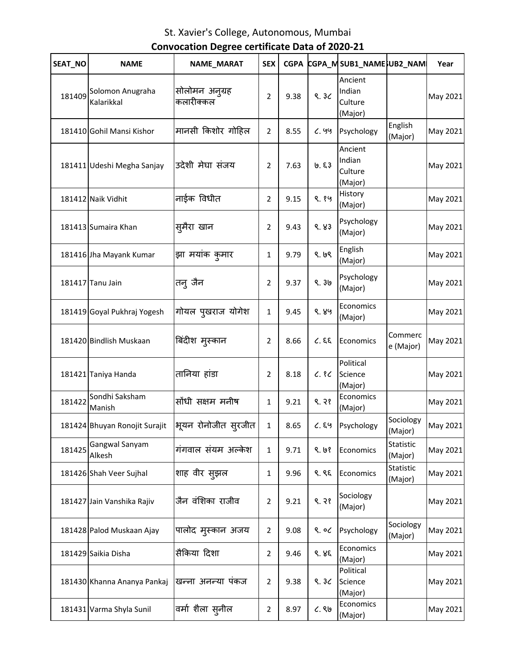| SEAT_NO | <b>NAME</b>                     | NAME_MARAT                           | <b>SEX</b>     | <b>CGPA</b> |       | CGPA_MSUB1_NAMENB2_NAM                  |                      | Year     |
|---------|---------------------------------|--------------------------------------|----------------|-------------|-------|-----------------------------------------|----------------------|----------|
| 181409  | Solomon Anugraha<br>Kalarikkal  | सोलोमन अन् <i>ग्र</i> ह<br>कलारीक्कल | 2              | 9.38        | 9.30  | Ancient<br>Indian<br>Culture<br>(Major) |                      | May 2021 |
|         | 181410 Gohil Mansi Kishor       | मानसी किशोर गोहिल                    | $\overline{2}$ | 8.55        | 6.99  | Psychology                              | English<br>(Major)   | May 2021 |
|         | 181411 Udeshi Megha Sanjay      | उदेशी मेघा संजय                      | 2              | 7.63        | 6.53  | Ancient<br>Indian<br>Culture<br>(Major) |                      | May 2021 |
|         | 181412 Naik Vidhit              | नाईक विधीत                           | $\overline{2}$ | 9.15        | ९.१५  | History<br>(Major)                      |                      | May 2021 |
|         | 181413 Sumaira Khan             | सुमैरा खान                           | 2              | 9.43        | 8.83  | Psychology<br>(Major)                   |                      | May 2021 |
|         | 181416 Jha Mayank Kumar         | झा मयांक कुमार                       | $\mathbf{1}$   | 9.79        | 8.68  | English<br>(Major)                      |                      | May 2021 |
|         | 181417 Tanu Jain                | तन् जैन                              | $\overline{2}$ | 9.37        | 9.30  | Psychology<br>(Major)                   |                      | May 2021 |
|         | 181419 Goyal Pukhraj Yogesh     | गोयल पुखराज योगेश                    | 1              | 9.45        | ९. ४५ | Economics<br>(Major)                    |                      | May 2021 |
|         | 181420 Bindlish Muskaan         | बिंदीश मुस्कान                       | 2              | 8.66        | 2.3.3 | Economics                               | Commerc<br>e (Major) | May 2021 |
|         | 181421 Taniya Handa             | तानिया हांडा                         | 2              | 8.18        | C.8C  | Political<br>Science<br>(Major)         |                      | May 2021 |
|         | 181422 Sondhi Saksham<br>Manish | सोंधी सक्षम मनीष                     | 1              | 9.21        | 8.38  | Economics<br>(Major)                    |                      | May 2021 |
|         | 181424 Bhuyan Ronojit Surajit   | भूयन रोनोजीत सुरजीत                  | $\mathbf{1}$   | 8.65        | C.69  | Psychology                              | Sociology<br>(Major) | May 2021 |
| 181425  | Gangwal Sanyam<br>Alkesh        | गंगवाल संयम अल्केश                   | $\mathbf{1}$   | 9.71        | 9.68  | Economics                               | Statistic<br>(Major) | May 2021 |
|         | 181426 Shah Veer Sujhal         | शाह वीर सुझल                         | 1              | 9.96        | 9.85  | Economics                               | Statistic<br>(Major) | May 2021 |
|         | 181427 Jain Vanshika Rajiv      | जैन वंशिका राजीव                     | 2              | 9.21        | 9.38  | Sociology<br>(Major)                    |                      | May 2021 |
|         | 181428 Palod Muskaan Ajay       | पालोद म्स्कान अजय                    | 2              | 9.08        | ९. ०८ | Psychology                              | Sociology<br>(Major) | May 2021 |
|         | 181429 Saikia Disha             | सैकिया दिशा                          | $\overline{2}$ | 9.46        | 8.85  | Economics<br>(Major)                    |                      | May 2021 |
|         | 181430 Khanna Ananya Pankaj     | खन्ना अनन्या पंकज                    | 2              | 9.38        | 9.30  | Political<br>Science<br>(Major)         |                      | May 2021 |
|         | 181431 Varma Shyla Sunil        | वर्मा शैला स् <b>नील</b>             | $\overline{2}$ | 8.97        | C.86  | Economics<br>(Major)                    |                      | May 2021 |